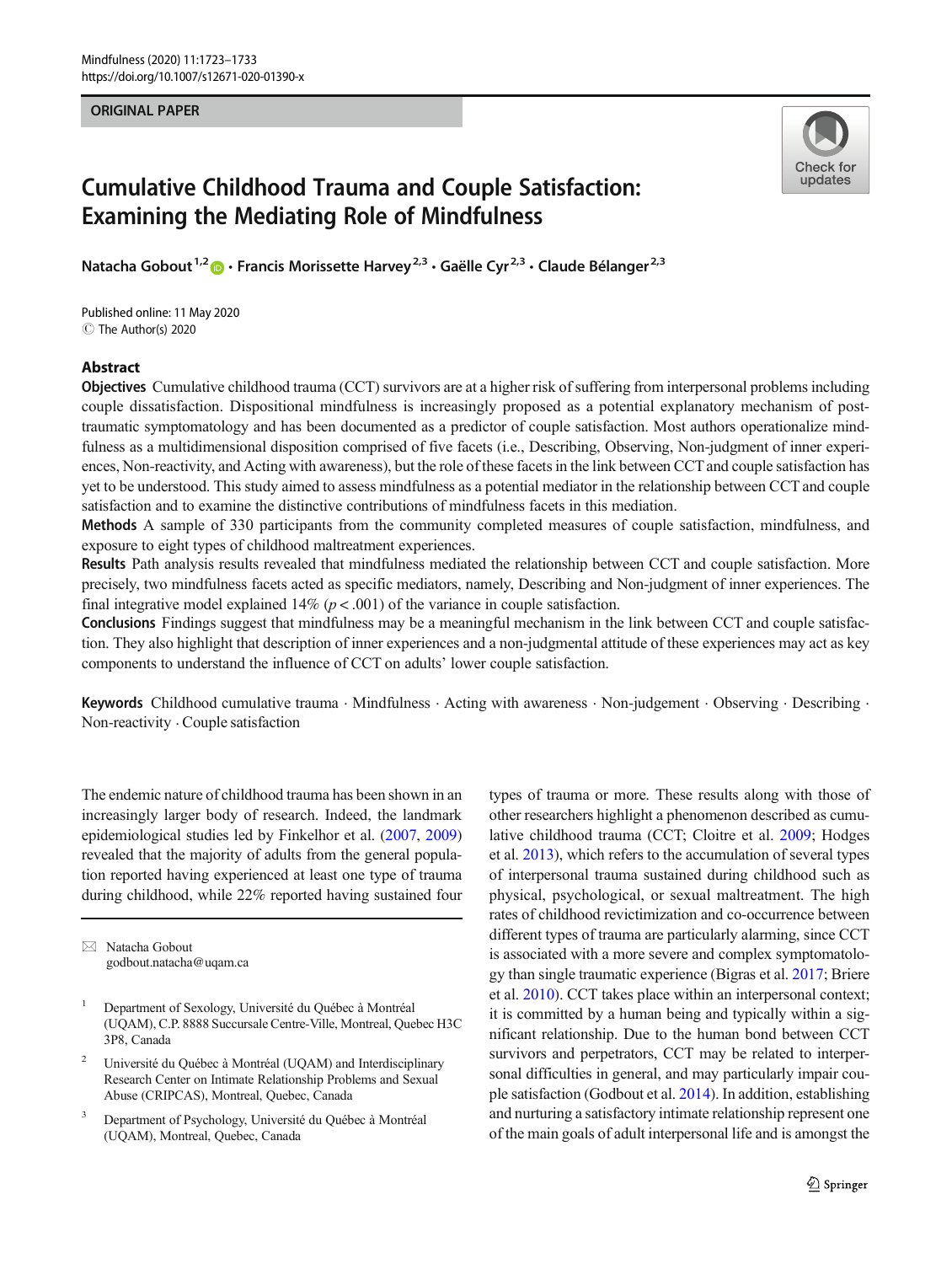## ORIGINAL PAPER



# Cumulative Childhood Trauma and Couple Satisfaction: Examining the Mediating Role of Mindfulness

Natacha Gobout<sup>1,2</sup>  $\bullet$  · Francis Morissette Harvey<sup>2,3</sup> · Gaëlle Cyr<sup>2,3</sup> · Claude Bélanger<sup>2,3</sup>

C The Author(s) 2020 Published online: 11 May 2020

## Abstract

Objectives Cumulative childhood trauma (CCT) survivors are at a higher risk of suffering from interpersonal problems including couple dissatisfaction. Dispositional mindfulness is increasingly proposed as a potential explanatory mechanism of posttraumatic symptomatology and has been documented as a predictor of couple satisfaction. Most authors operationalize mindfulness as a multidimensional disposition comprised of five facets (i.e., Describing, Observing, Non-judgment of inner experiences, Non-reactivity, and Acting with awareness), but the role of these facets in the link between CCT and couple satisfaction has yet to be understood. This study aimed to assess mindfulness as a potential mediator in the relationship between CCT and couple satisfaction and to examine the distinctive contributions of mindfulness facets in this mediation.

Methods A sample of 330 participants from the community completed measures of couple satisfaction, mindfulness, and exposure to eight types of childhood maltreatment experiences.

Results Path analysis results revealed that mindfulness mediated the relationship between CCT and couple satisfaction. More precisely, two mindfulness facets acted as specific mediators, namely, Describing and Non-judgment of inner experiences. The final integrative model explained  $14\%$  ( $p < .001$ ) of the variance in couple satisfaction.

Conclusions Findings suggest that mindfulness may be a meaningful mechanism in the link between CCT and couple satisfaction. They also highlight that description of inner experiences and a non-judgmental attitude of these experiences may act as key components to understand the influence of CCT on adults' lower couple satisfaction.

Keywords Childhood cumulative trauma . Mindfulness . Acting with awareness . Non-judgement . Observing . Describing . Non-reactivity . Couple satisfaction

The endemic nature of childhood trauma has been shown in an increasingly larger body of research. Indeed, the landmark epidemiological studies led by Finkelhor et al. [\(2007,](#page-8-0) [2009\)](#page-8-0) revealed that the majority of adults from the general population reported having experienced at least one type of trauma during childhood, while 22% reported having sustained four

 $\boxtimes$  Natacha Gobout [godbout.natacha@uqam.ca](mailto:godbout.natacha@uqam.ca)

- <sup>1</sup> Department of Sexology, Université du Québec à Montréal (UQAM), C.P. 8888 Succursale Centre-Ville, Montreal, Quebec H3C 3P8, Canada
- <sup>2</sup> Université du Québec à Montréal (UQAM) and Interdisciplinary Research Center on Intimate Relationship Problems and Sexual Abuse (CRIPCAS), Montreal, Quebec, Canada
- <sup>3</sup> Department of Psychology, Université du Québec à Montréal (UQAM), Montreal, Quebec, Canada

types of trauma or more. These results along with those of other researchers highlight a phenomenon described as cumulative childhood trauma (CCT; Cloitre et al. [2009;](#page-8-0) Hodges et al. [2013\)](#page-9-0), which refers to the accumulation of several types of interpersonal trauma sustained during childhood such as physical, psychological, or sexual maltreatment. The high rates of childhood revictimization and co-occurrence between different types of trauma are particularly alarming, since CCT is associated with a more severe and complex symptomatology than single traumatic experience (Bigras et al. [2017](#page-8-0); Briere et al. [2010\)](#page-8-0). CCT takes place within an interpersonal context; it is committed by a human being and typically within a significant relationship. Due to the human bond between CCT survivors and perpetrators, CCT may be related to interpersonal difficulties in general, and may particularly impair couple satisfaction (Godbout et al. [2014\)](#page-9-0). In addition, establishing and nurturing a satisfactory intimate relationship represent one of the main goals of adult interpersonal life and is amongst the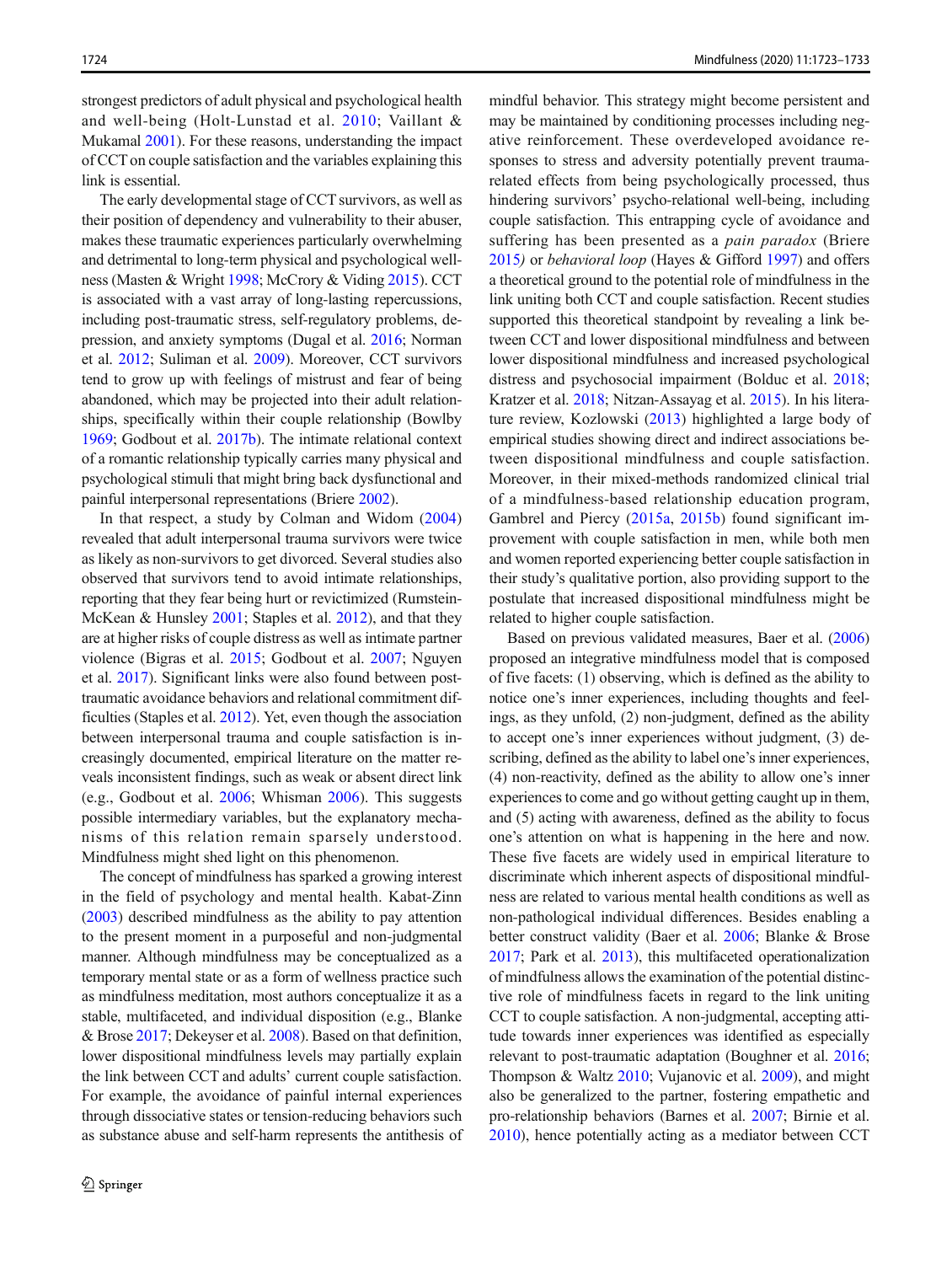strongest predictors of adult physical and psychological health and well-being (Holt-Lunstad et al. [2010;](#page-9-0) Vaillant & Mukamal [2001](#page-10-0)). For these reasons, understanding the impact of CCT on couple satisfaction and the variables explaining this link is essential.

The early developmental stage of CCT survivors, as well as their position of dependency and vulnerability to their abuser, makes these traumatic experiences particularly overwhelming and detrimental to long-term physical and psychological wellness (Masten & Wright [1998](#page-9-0); McCrory & Viding [2015](#page-9-0)). CCT is associated with a vast array of long-lasting repercussions, including post-traumatic stress, self-regulatory problems, depression, and anxiety symptoms (Dugal et al. [2016;](#page-8-0) Norman et al. [2012;](#page-9-0) Suliman et al. [2009](#page-10-0)). Moreover, CCT survivors tend to grow up with feelings of mistrust and fear of being abandoned, which may be projected into their adult relationships, specifically within their couple relationship (Bowlby [1969;](#page-8-0) Godbout et al. [2017b](#page-9-0)). The intimate relational context of a romantic relationship typically carries many physical and psychological stimuli that might bring back dysfunctional and painful interpersonal representations (Briere [2002](#page-8-0)).

In that respect, a study by Colman and Widom ([2004\)](#page-8-0) revealed that adult interpersonal trauma survivors were twice as likely as non-survivors to get divorced. Several studies also observed that survivors tend to avoid intimate relationships, reporting that they fear being hurt or revictimized (Rumstein-McKean & Hunsley [2001;](#page-10-0) Staples et al. [2012\)](#page-10-0), and that they are at higher risks of couple distress as well as intimate partner violence (Bigras et al. [2015;](#page-8-0) Godbout et al. [2007;](#page-9-0) Nguyen et al. [2017\)](#page-9-0). Significant links were also found between posttraumatic avoidance behaviors and relational commitment difficulties (Staples et al. [2012](#page-10-0)). Yet, even though the association between interpersonal trauma and couple satisfaction is increasingly documented, empirical literature on the matter reveals inconsistent findings, such as weak or absent direct link (e.g., Godbout et al. [2006](#page-9-0); Whisman [2006](#page-10-0)). This suggests possible intermediary variables, but the explanatory mechanisms of this relation remain sparsely understood. Mindfulness might shed light on this phenomenon.

The concept of mindfulness has sparked a growing interest in the field of psychology and mental health. Kabat-Zinn [\(2003\)](#page-9-0) described mindfulness as the ability to pay attention to the present moment in a purposeful and non-judgmental manner. Although mindfulness may be conceptualized as a temporary mental state or as a form of wellness practice such as mindfulness meditation, most authors conceptualize it as a stable, multifaceted, and individual disposition (e.g., Blanke & Brose [2017;](#page-8-0) Dekeyser et al. [2008\)](#page-8-0). Based on that definition, lower dispositional mindfulness levels may partially explain the link between CCT and adults' current couple satisfaction. For example, the avoidance of painful internal experiences through dissociative states or tension-reducing behaviors such as substance abuse and self-harm represents the antithesis of mindful behavior. This strategy might become persistent and may be maintained by conditioning processes including negative reinforcement. These overdeveloped avoidance responses to stress and adversity potentially prevent traumarelated effects from being psychologically processed, thus hindering survivors' psycho-relational well-being, including couple satisfaction. This entrapping cycle of avoidance and suffering has been presented as a pain paradox (Briere [2015](#page-8-0)) or behavioral loop (Hayes & Gifford [1997](#page-9-0)) and offers a theoretical ground to the potential role of mindfulness in the link uniting both CCT and couple satisfaction. Recent studies supported this theoretical standpoint by revealing a link between CCT and lower dispositional mindfulness and between lower dispositional mindfulness and increased psychological distress and psychosocial impairment (Bolduc et al. [2018;](#page-8-0) Kratzer et al. [2018](#page-9-0); Nitzan-Assayag et al. [2015\)](#page-9-0). In his literature review, Kozlowski [\(2013](#page-9-0)) highlighted a large body of empirical studies showing direct and indirect associations between dispositional mindfulness and couple satisfaction. Moreover, in their mixed-methods randomized clinical trial of a mindfulness-based relationship education program, Gambrel and Piercy [\(2015a,](#page-8-0) [2015b\)](#page-9-0) found significant improvement with couple satisfaction in men, while both men and women reported experiencing better couple satisfaction in their study's qualitative portion, also providing support to the postulate that increased dispositional mindfulness might be related to higher couple satisfaction.

Based on previous validated measures, Baer et al. [\(2006](#page-8-0)) proposed an integrative mindfulness model that is composed of five facets: (1) observing, which is defined as the ability to notice one's inner experiences, including thoughts and feelings, as they unfold, (2) non-judgment, defined as the ability to accept one's inner experiences without judgment, (3) describing, defined as the ability to label one's inner experiences, (4) non-reactivity, defined as the ability to allow one's inner experiences to come and go without getting caught up in them, and (5) acting with awareness, defined as the ability to focus one's attention on what is happening in the here and now. These five facets are widely used in empirical literature to discriminate which inherent aspects of dispositional mindfulness are related to various mental health conditions as well as non-pathological individual differences. Besides enabling a better construct validity (Baer et al. [2006;](#page-8-0) Blanke & Brose [2017;](#page-8-0) Park et al. [2013](#page-9-0)), this multifaceted operationalization of mindfulness allows the examination of the potential distinctive role of mindfulness facets in regard to the link uniting CCT to couple satisfaction. A non-judgmental, accepting attitude towards inner experiences was identified as especially relevant to post-traumatic adaptation (Boughner et al. [2016;](#page-8-0) Thompson & Waltz [2010](#page-10-0); Vujanovic et al. [2009](#page-10-0)), and might also be generalized to the partner, fostering empathetic and pro-relationship behaviors (Barnes et al. [2007](#page-8-0); Birnie et al. [2010\)](#page-8-0), hence potentially acting as a mediator between CCT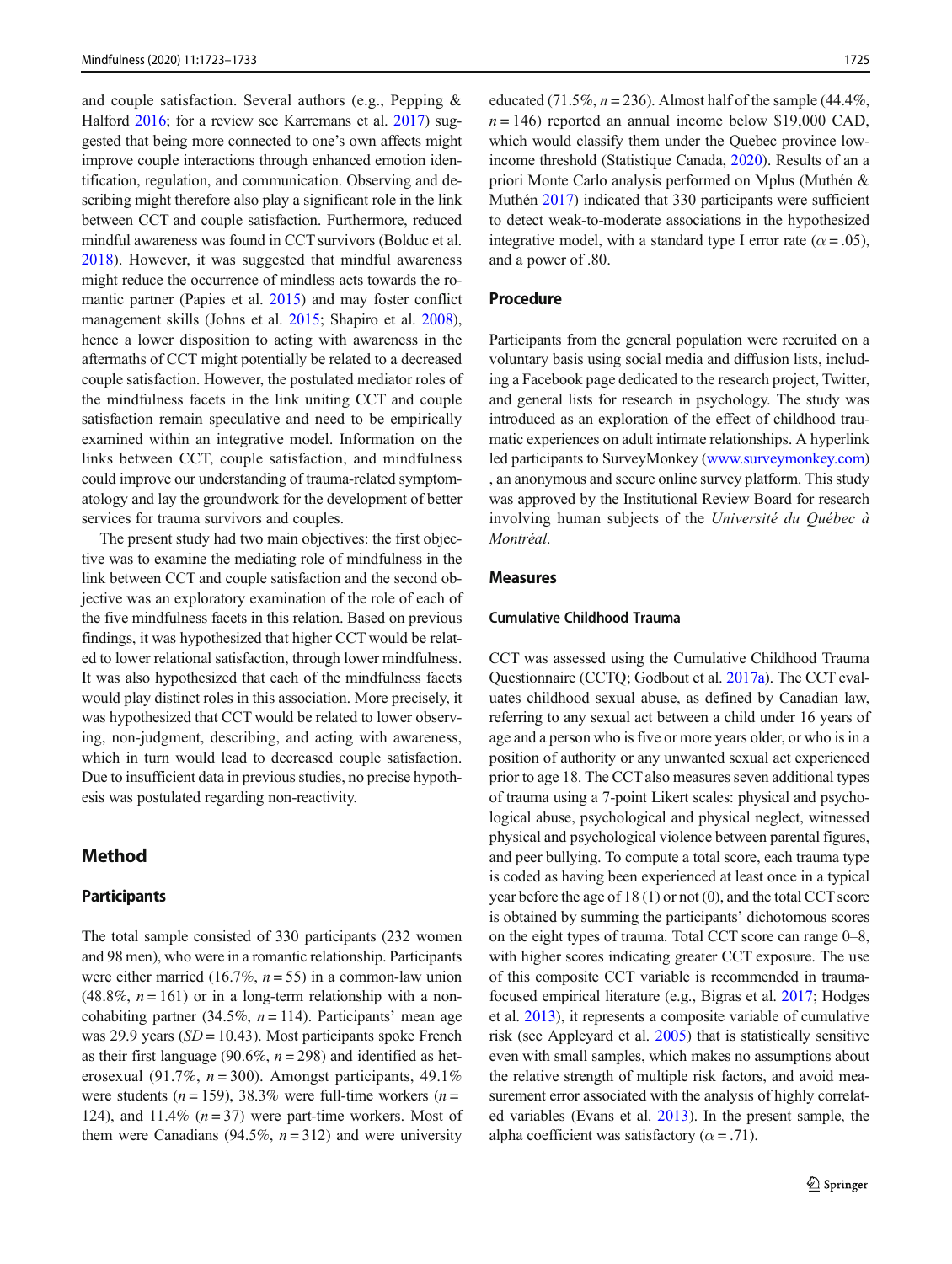and couple satisfaction. Several authors (e.g., Pepping & Halford [2016;](#page-9-0) for a review see Karremans et al. [2017\)](#page-9-0) suggested that being more connected to one's own affects might improve couple interactions through enhanced emotion identification, regulation, and communication. Observing and describing might therefore also play a significant role in the link between CCT and couple satisfaction. Furthermore, reduced mindful awareness was found in CCT survivors (Bolduc et al. [2018](#page-8-0)). However, it was suggested that mindful awareness might reduce the occurrence of mindless acts towards the romantic partner (Papies et al. [2015](#page-9-0)) and may foster conflict management skills (Johns et al. [2015](#page-9-0); Shapiro et al. [2008\)](#page-10-0), hence a lower disposition to acting with awareness in the aftermaths of CCT might potentially be related to a decreased couple satisfaction. However, the postulated mediator roles of the mindfulness facets in the link uniting CCT and couple satisfaction remain speculative and need to be empirically examined within an integrative model. Information on the links between CCT, couple satisfaction, and mindfulness could improve our understanding of trauma-related symptomatology and lay the groundwork for the development of better services for trauma survivors and couples.

The present study had two main objectives: the first objective was to examine the mediating role of mindfulness in the link between CCT and couple satisfaction and the second objective was an exploratory examination of the role of each of the five mindfulness facets in this relation. Based on previous findings, it was hypothesized that higher CCT would be related to lower relational satisfaction, through lower mindfulness. It was also hypothesized that each of the mindfulness facets would play distinct roles in this association. More precisely, it was hypothesized that CCT would be related to lower observing, non-judgment, describing, and acting with awareness, which in turn would lead to decreased couple satisfaction. Due to insufficient data in previous studies, no precise hypothesis was postulated regarding non-reactivity.

# Method

#### **Participants**

The total sample consisted of 330 participants (232 women and 98 men), who were in a romantic relationship. Participants were either married (16.7%,  $n = 55$ ) in a common-law union  $(48.8\%, n = 161)$  or in a long-term relationship with a noncohabiting partner (34.5%,  $n = 114$ ). Participants' mean age was 29.9 years ( $SD = 10.43$ ). Most participants spoke French as their first language (90.6%,  $n = 298$ ) and identified as heterosexual (91.7%,  $n = 300$ ). Amongst participants, 49.1% were students ( $n = 159$ ), 38.3% were full-time workers ( $n =$ 124), and 11.4%  $(n=37)$  were part-time workers. Most of them were Canadians (94.5%,  $n = 312$ ) and were university

educated (71.5%,  $n = 236$ ). Almost half of the sample (44.4%,  $n = 146$ ) reported an annual income below \$19,000 CAD, which would classify them under the Quebec province lowincome threshold (Statistique Canada, [2020](#page-10-0)). Results of an a priori Monte Carlo analysis performed on Mplus (Muthén & Muthén [2017](#page-9-0)) indicated that 330 participants were sufficient to detect weak-to-moderate associations in the hypothesized integrative model, with a standard type I error rate ( $\alpha = .05$ ), and a power of .80.

## Procedure

Participants from the general population were recruited on a voluntary basis using social media and diffusion lists, including a Facebook page dedicated to the research project, Twitter, and general lists for research in psychology. The study was introduced as an exploration of the effect of childhood traumatic experiences on adult intimate relationships. A hyperlink led participants to SurveyMonkey [\(www.surveymonkey.com](http://creativecommons.org/licenses/by/4.0/)) , an anonymous and secure online survey platform. This study was approved by the Institutional Review Board for research involving human subjects of the Université du Québec à Montréal.

## Measures

#### Cumulative Childhood Trauma

CCT was assessed using the Cumulative Childhood Trauma Questionnaire (CCTQ; Godbout et al. [2017a\)](#page-9-0). The CCT evaluates childhood sexual abuse, as defined by Canadian law, referring to any sexual act between a child under 16 years of age and a person who is five or more years older, or who is in a position of authority or any unwanted sexual act experienced prior to age 18. The CCT also measures seven additional types of trauma using a 7-point Likert scales: physical and psychological abuse, psychological and physical neglect, witnessed physical and psychological violence between parental figures, and peer bullying. To compute a total score, each trauma type is coded as having been experienced at least once in a typical year before the age of 18 (1) or not (0), and the total CCT score is obtained by summing the participants' dichotomous scores on the eight types of trauma. Total CCT score can range 0–8, with higher scores indicating greater CCT exposure. The use of this composite CCT variable is recommended in traumafocused empirical literature (e.g., Bigras et al. [2017;](#page-8-0) Hodges et al. [2013\)](#page-9-0), it represents a composite variable of cumulative risk (see Appleyard et al. [2005\)](#page-8-0) that is statistically sensitive even with small samples, which makes no assumptions about the relative strength of multiple risk factors, and avoid measurement error associated with the analysis of highly correlated variables (Evans et al. [2013](#page-8-0)). In the present sample, the alpha coefficient was satisfactory ( $\alpha$  = .71).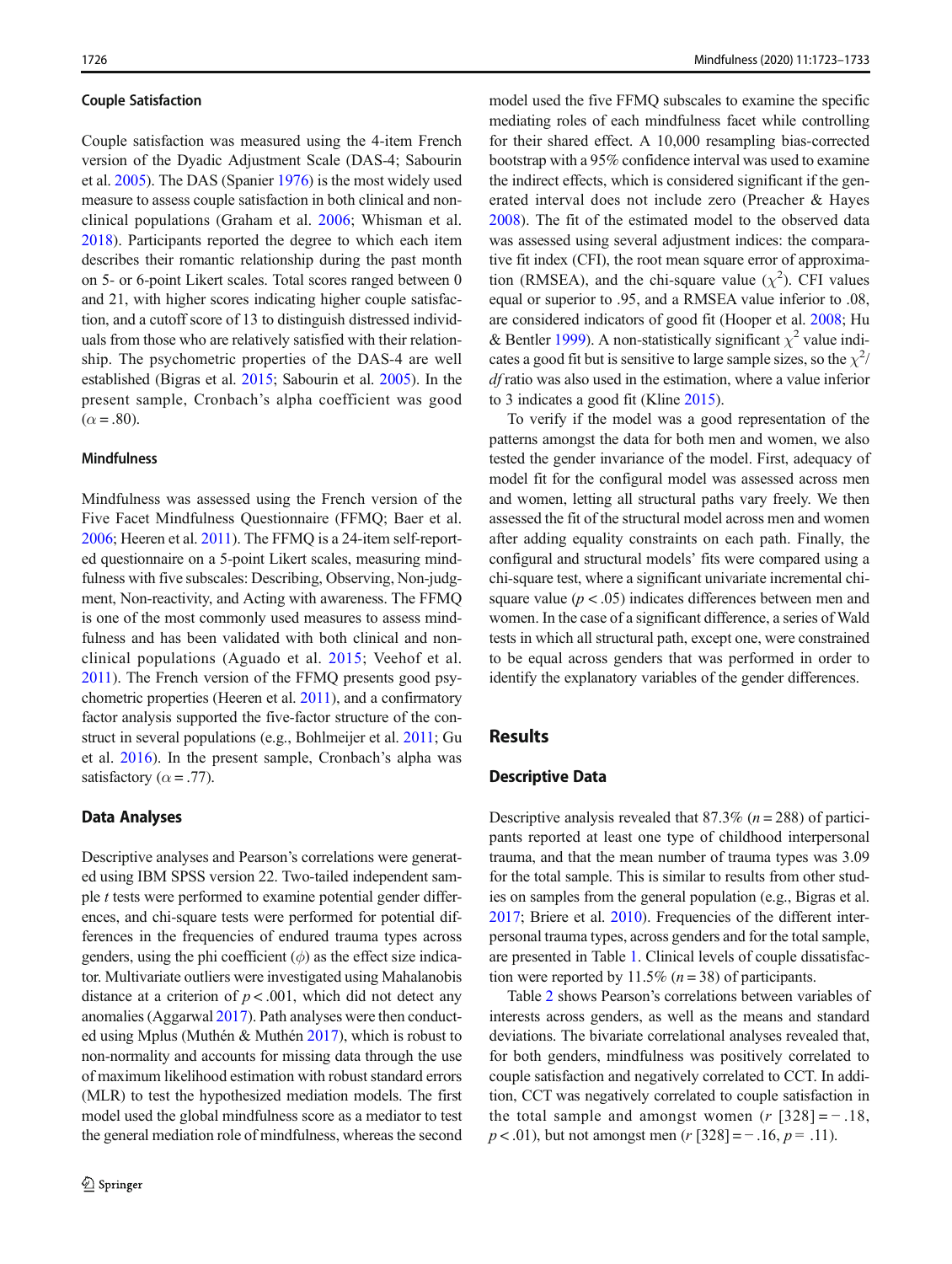#### Couple Satisfaction

Couple satisfaction was measured using the 4-item French version of the Dyadic Adjustment Scale (DAS-4; Sabourin et al. [2005](#page-10-0)). The DAS (Spanier [1976](#page-10-0)) is the most widely used measure to assess couple satisfaction in both clinical and nonclinical populations (Graham et al. [2006](#page-9-0); Whisman et al. [2018\)](#page-10-0). Participants reported the degree to which each item describes their romantic relationship during the past month on 5- or 6-point Likert scales. Total scores ranged between 0 and 21, with higher scores indicating higher couple satisfaction, and a cutoff score of 13 to distinguish distressed individuals from those who are relatively satisfied with their relationship. The psychometric properties of the DAS-4 are well established (Bigras et al. [2015;](#page-8-0) Sabourin et al. [2005](#page-10-0)). In the present sample, Cronbach's alpha coefficient was good  $(\alpha = .80)$ .

#### **Mindfulness**

Mindfulness was assessed using the French version of the Five Facet Mindfulness Questionnaire (FFMQ; Baer et al. [2006;](#page-8-0) Heeren et al. [2011](#page-9-0)). The FFMQ is a 24-item self-reported questionnaire on a 5-point Likert scales, measuring mindfulness with five subscales: Describing, Observing, Non-judgment, Non-reactivity, and Acting with awareness. The FFMQ is one of the most commonly used measures to assess mindfulness and has been validated with both clinical and nonclinical populations (Aguado et al. [2015;](#page-8-0) Veehof et al. [2011](#page-10-0)). The French version of the FFMQ presents good psychometric properties (Heeren et al. [2011](#page-9-0)), and a confirmatory factor analysis supported the five-factor structure of the construct in several populations (e.g., Bohlmeijer et al. [2011;](#page-8-0) Gu et al. [2016](#page-9-0)). In the present sample, Cronbach's alpha was satisfactory ( $\alpha$  = .77).

#### Data Analyses

Descriptive analyses and Pearson's correlations were generated using IBM SPSS version 22. Two-tailed independent sample t tests were performed to examine potential gender differences, and chi-square tests were performed for potential differences in the frequencies of endured trauma types across genders, using the phi coefficient  $(\phi)$  as the effect size indicator. Multivariate outliers were investigated using Mahalanobis distance at a criterion of  $p < .001$ , which did not detect any anomalies (Aggarwal [2017\)](#page-8-0). Path analyses were then conducted using Mplus (Muthén & Muthén [2017\)](#page-9-0), which is robust to non-normality and accounts for missing data through the use of maximum likelihood estimation with robust standard errors (MLR) to test the hypothesized mediation models. The first model used the global mindfulness score as a mediator to test the general mediation role of mindfulness, whereas the second

model used the five FFMQ subscales to examine the specific mediating roles of each mindfulness facet while controlling for their shared effect. A 10,000 resampling bias-corrected bootstrap with a 95% confidence interval was used to examine the indirect effects, which is considered significant if the generated interval does not include zero (Preacher & Hayes [2008\)](#page-9-0). The fit of the estimated model to the observed data was assessed using several adjustment indices: the comparative fit index (CFI), the root mean square error of approximation (RMSEA), and the chi-square value  $(\chi^2)$ . CFI values equal or superior to .95, and a RMSEA value inferior to .08, are considered indicators of good fit (Hooper et al. [2008;](#page-9-0) Hu & Bentler [1999](#page-9-0)). A non-statistically significant  $\chi^2$  value indicates a good fit but is sensitive to large sample sizes, so the  $\chi^2$ / df ratio was also used in the estimation, where a value inferior to 3 indicates a good fit (Kline [2015\)](#page-9-0).

To verify if the model was a good representation of the patterns amongst the data for both men and women, we also tested the gender invariance of the model. First, adequacy of model fit for the configural model was assessed across men and women, letting all structural paths vary freely. We then assessed the fit of the structural model across men and women after adding equality constraints on each path. Finally, the configural and structural models' fits were compared using a chi-square test, where a significant univariate incremental chisquare value ( $p < .05$ ) indicates differences between men and women. In the case of a significant difference, a series of Wald tests in which all structural path, except one, were constrained to be equal across genders that was performed in order to identify the explanatory variables of the gender differences.

#### Results

## Descriptive Data

Descriptive analysis revealed that 87.3% ( $n = 288$ ) of participants reported at least one type of childhood interpersonal trauma, and that the mean number of trauma types was 3.09 for the total sample. This is similar to results from other studies on samples from the general population (e.g., Bigras et al. [2017;](#page-8-0) Briere et al. [2010\)](#page-8-0). Frequencies of the different interpersonal trauma types, across genders and for the total sample, are presented in Table [1](#page-4-0). Clinical levels of couple dissatisfaction were reported by 11.5% ( $n = 38$ ) of participants.

Table [2](#page-4-0) shows Pearson's correlations between variables of interests across genders, as well as the means and standard deviations. The bivariate correlational analyses revealed that, for both genders, mindfulness was positively correlated to couple satisfaction and negatively correlated to CCT. In addition, CCT was negatively correlated to couple satisfaction in the total sample and amongst women ( $r$  [328] = − .18,  $p < .01$ ), but not amongst men (r [328] = - .16,  $p = .11$ ).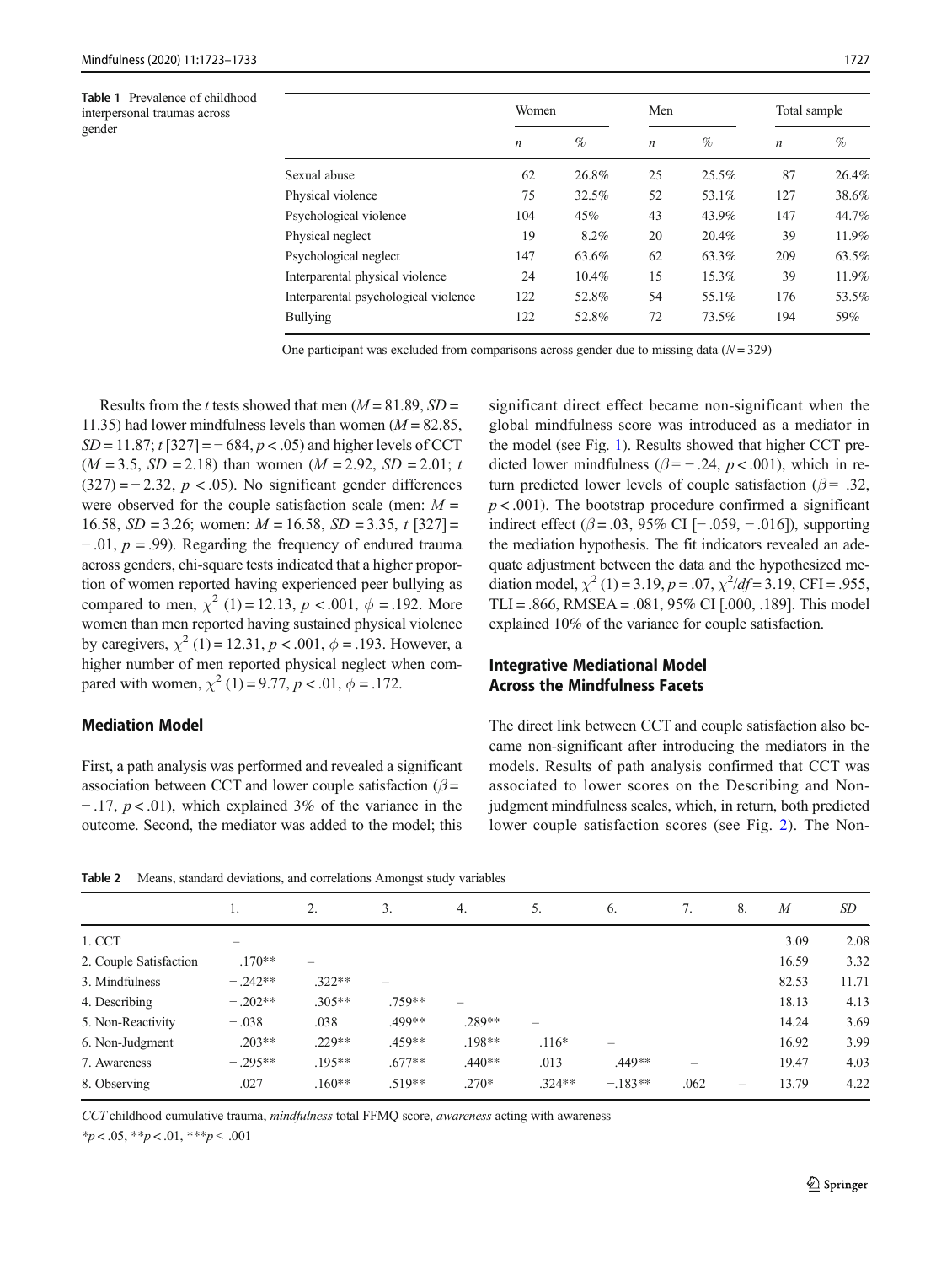<span id="page-4-0"></span>Table 1 Prevalence of childhood interpersonal traumas across gender

| Women            |          | Men              |          | Total sample     |       |
|------------------|----------|------------------|----------|------------------|-------|
| $\boldsymbol{n}$ | $\%$     | $\boldsymbol{n}$ | $\%$     | $\boldsymbol{n}$ | $\%$  |
| 62               | 26.8%    | 25               | $25.5\%$ | 87               | 26.4% |
| 75               | 32.5%    | 52               | 53.1%    | 127              | 38.6% |
| 104              | 45%      | 43               | 43.9%    | 147              | 44.7% |
| 19               | 8.2%     | 20               | 20.4%    | 39               | 11.9% |
| 147              | 63.6%    | 62               | 63.3%    | 209              | 63.5% |
| 24               | $10.4\%$ | 15               | 15.3%    | 39               | 11.9% |
| 122              | 52.8%    | 54               | 55.1%    | 176              | 53.5% |
| 122              | 52.8%    | 72               | 73.5%    | 194              | 59%   |
|                  |          |                  |          |                  |       |

One participant was excluded from comparisons across gender due to missing data  $(N = 329)$ 

Results from the t tests showed that men  $(M = 81.89, SD =$ 11.35) had lower mindfulness levels than women ( $M = 82.85$ ,  $SD = 11.87$ ;  $t$  [327] = -684,  $p < .05$ ) and higher levels of CCT  $(M = 3.5, SD = 2.18)$  than women  $(M = 2.92, SD = 2.01; t$  $(327) = -2.32$ ,  $p < .05$ ). No significant gender differences were observed for the couple satisfaction scale (men:  $M =$ 16.58,  $SD = 3.26$ ; women:  $M = 16.58$ ,  $SD = 3.35$ ,  $t$  [327] =  $-$ .01,  $p = .99$ ). Regarding the frequency of endured trauma across genders, chi-square tests indicated that a higher proportion of women reported having experienced peer bullying as compared to men,  $\chi^2$  (1) = 12.13, p < .001,  $\phi$  = .192. More women than men reported having sustained physical violence by caregivers,  $\chi^2$  (1) = 12.31, p < .001,  $\phi$  = .193. However, a higher number of men reported physical neglect when compared with women,  $\chi^2$  (1) = 9.77, p < .01,  $\phi$  = .172.

## Mediation Model

First, a path analysis was performed and revealed a significant association between CCT and lower couple satisfaction ( $\beta$  =  $-17$ ,  $p < 0.01$ ), which explained 3% of the variance in the outcome. Second, the mediator was added to the model; this

significant direct effect became non-significant when the global mindfulness score was introduced as a mediator in the model (see Fig. [1](#page-5-0)). Results showed that higher CCT predicted lower mindfulness ( $\beta$  = -.24, p < .001), which in return predicted lower levels of couple satisfaction ( $\beta$ = .32,  $p < .001$ ). The bootstrap procedure confirmed a significant indirect effect ( $\beta$  = .03, 95% CI [− .059, − .016]), supporting the mediation hypothesis. The fit indicators revealed an adequate adjustment between the data and the hypothesized mediation model,  $\chi^2$  (1) = 3.19, p = .07,  $\chi^2$ /df = 3.19, CFI = .955, TLI = .866, RMSEA = .081, 95% CI  $[.000, .189]$ . This model explained 10% of the variance for couple satisfaction.

## Integrative Mediational Model Across the Mindfulness Facets

The direct link between CCT and couple satisfaction also became non-significant after introducing the mediators in the models. Results of path analysis confirmed that CCT was associated to lower scores on the Describing and Nonjudgment mindfulness scales, which, in return, both predicted lower couple satisfaction scores (see Fig. [2](#page-5-0)). The Non-

Table 2 Means, standard deviations, and correlations Amongst study variables

|                        | .,        | 2.       | 3.       | 4.       | 5.       | 6.        | 7.   | 8. | $\overline{M}$ | <b>SD</b> |
|------------------------|-----------|----------|----------|----------|----------|-----------|------|----|----------------|-----------|
| 1. CCT                 |           |          |          |          |          |           |      |    | 3.09           | 2.08      |
| 2. Couple Satisfaction | $-.170**$ |          |          |          |          |           |      |    | 16.59          | 3.32      |
| 3. Mindfulness         | $-.242**$ | $.322**$ |          |          |          |           |      |    | 82.53          | 11.71     |
| 4. Describing          | $-.202**$ | $.305**$ | .759**   |          |          |           |      |    | 18.13          | 4.13      |
| 5. Non-Reactivity      | $-.038$   | .038     | .499**   | .289**   | -        |           |      |    | 14.24          | 3.69      |
| 6. Non-Judgment        | $-.203**$ | $.229**$ | $.459**$ | $.198**$ | $-.116*$ | –         |      |    | 16.92          | 3.99      |
| 7. Awareness           | $-.295**$ | .195**   | $.677**$ | $.440**$ | .013     | .449**    | -    |    | 19.47          | 4.03      |
| 8. Observing           | .027      | $.160**$ | $.519**$ | $.270*$  | $.324**$ | $-.183**$ | .062 |    | 13.79          | 4.22      |

CCT childhood cumulative trauma, mindfulness total FFMQ score, awareness acting with awareness

 $*_{p < .05}$ ,  $*_{p < .01}$ ,  $*_{p < .001}$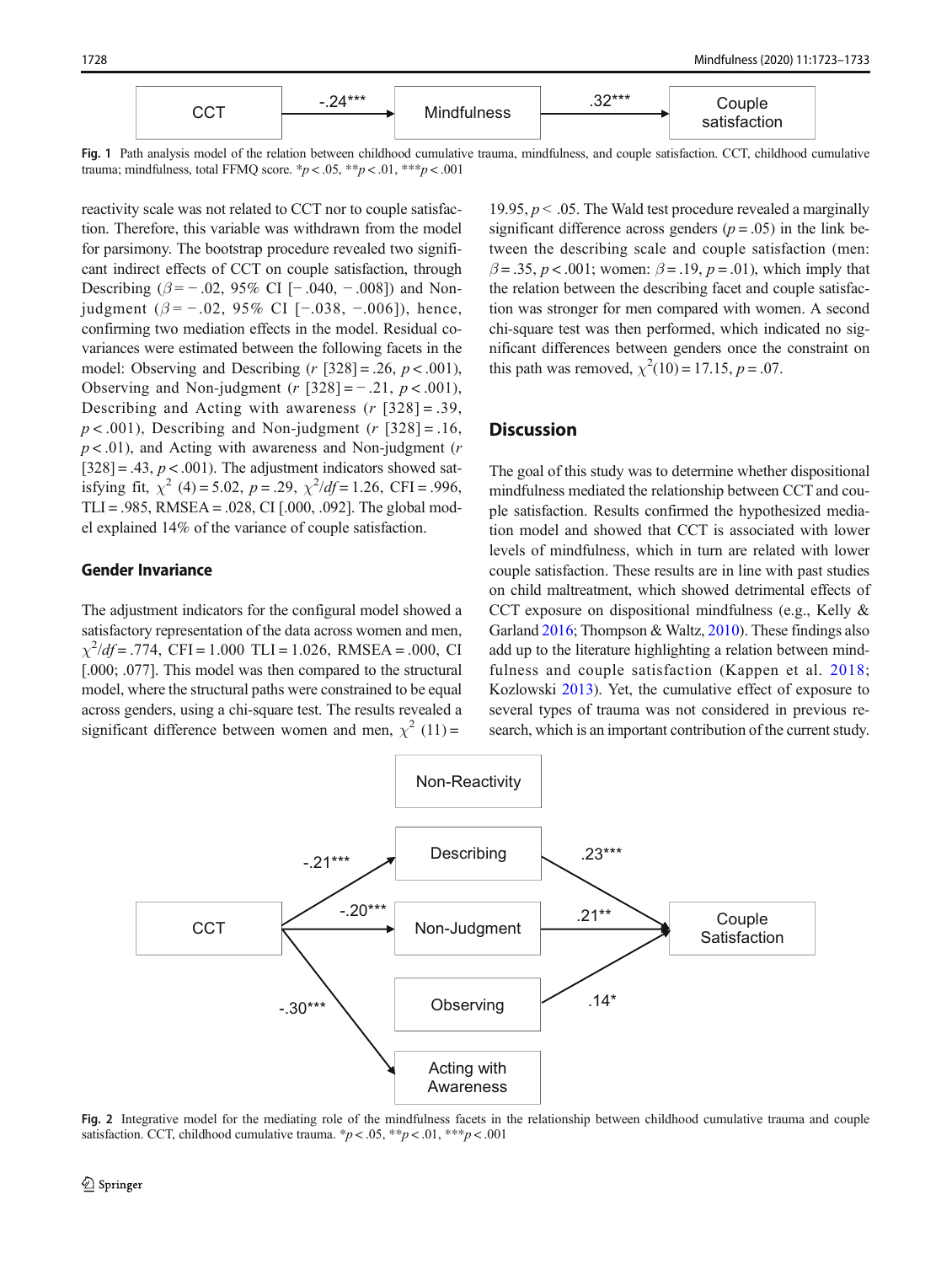<span id="page-5-0"></span>

Fig. 1 Path analysis model of the relation between childhood cumulative trauma, mindfulness, and couple satisfaction. CCT, childhood cumulative trauma; mindfulness, total FFMQ score. \* $p < .05$ , \*\* $p < .01$ , \*\*\* $p < .001$ 

reactivity scale was not related to CCT nor to couple satisfaction. Therefore, this variable was withdrawn from the model for parsimony. The bootstrap procedure revealed two significant indirect effects of CCT on couple satisfaction, through Describing ( $\beta$  = -.02, 95% CI [-.040, -.008]) and Nonjudgment ( $β = -.02, 95%$  CI [−.038, −.006]), hence, confirming two mediation effects in the model. Residual covariances were estimated between the following facets in the model: Observing and Describing ( $r$  [328] = .26,  $p < .001$ ), Observing and Non-judgment ( $r$  [328] = - .21,  $p < .001$ ), Describing and Acting with awareness  $(r \, 328] = .39$ ,  $p < .001$ ), Describing and Non-judgment (r [328] = .16,  $p < .01$ ), and Acting with awareness and Non-judgment (*r*  $[328] = .43$ ,  $p < .001$ ). The adjustment indicators showed satisfying fit,  $\chi^2$  (4) = 5.02, p = .29,  $\chi^2/df = 1.26$ , CFI = .996, TLI = .985, RMSEA = .028, CI  $[.000, .092]$ . The global model explained 14% of the variance of couple satisfaction.

#### Gender Invariance

The adjustment indicators for the configural model showed a satisfactory representation of the data across women and men,  $\chi^2$ /df = .774, CFI = 1.000 TLI = 1.026, RMSEA = .000, CI [.000; .077]. This model was then compared to the structural model, where the structural paths were constrained to be equal across genders, using a chi-square test. The results revealed a significant difference between women and men,  $\chi^2$  (11) =

19.95,  $p < 0.05$ . The Wald test procedure revealed a marginally significant difference across genders ( $p = .05$ ) in the link between the describing scale and couple satisfaction (men:  $\beta = .35$ ,  $p < .001$ ; women:  $\beta = .19$ ,  $p = .01$ ), which imply that the relation between the describing facet and couple satisfaction was stronger for men compared with women. A second chi-square test was then performed, which indicated no significant differences between genders once the constraint on this path was removed,  $\chi^2(10) = 17.15$ ,  $p = .07$ .

## **Discussion**

The goal of this study was to determine whether dispositional mindfulness mediated the relationship between CCT and couple satisfaction. Results confirmed the hypothesized mediation model and showed that CCT is associated with lower levels of mindfulness, which in turn are related with lower couple satisfaction. These results are in line with past studies on child maltreatment, which showed detrimental effects of CCT exposure on dispositional mindfulness (e.g., Kelly & Garland [2016;](#page-9-0) Thompson & Waltz, [2010\)](#page-10-0). These findings also add up to the literature highlighting a relation between mindfulness and couple satisfaction (Kappen et al. [2018;](#page-9-0) Kozlowski [2013](#page-9-0)). Yet, the cumulative effect of exposure to several types of trauma was not considered in previous research, which is an important contribution of the current study.



Fig. 2 Integrative model for the mediating role of the mindfulness facets in the relationship between childhood cumulative trauma and couple satisfaction. CCT, childhood cumulative trauma.  $\frac{p}{\sqrt{p}} < .05$ ,  $\frac{p}{p} < .01$ ,  $\frac{p}{p} < .001$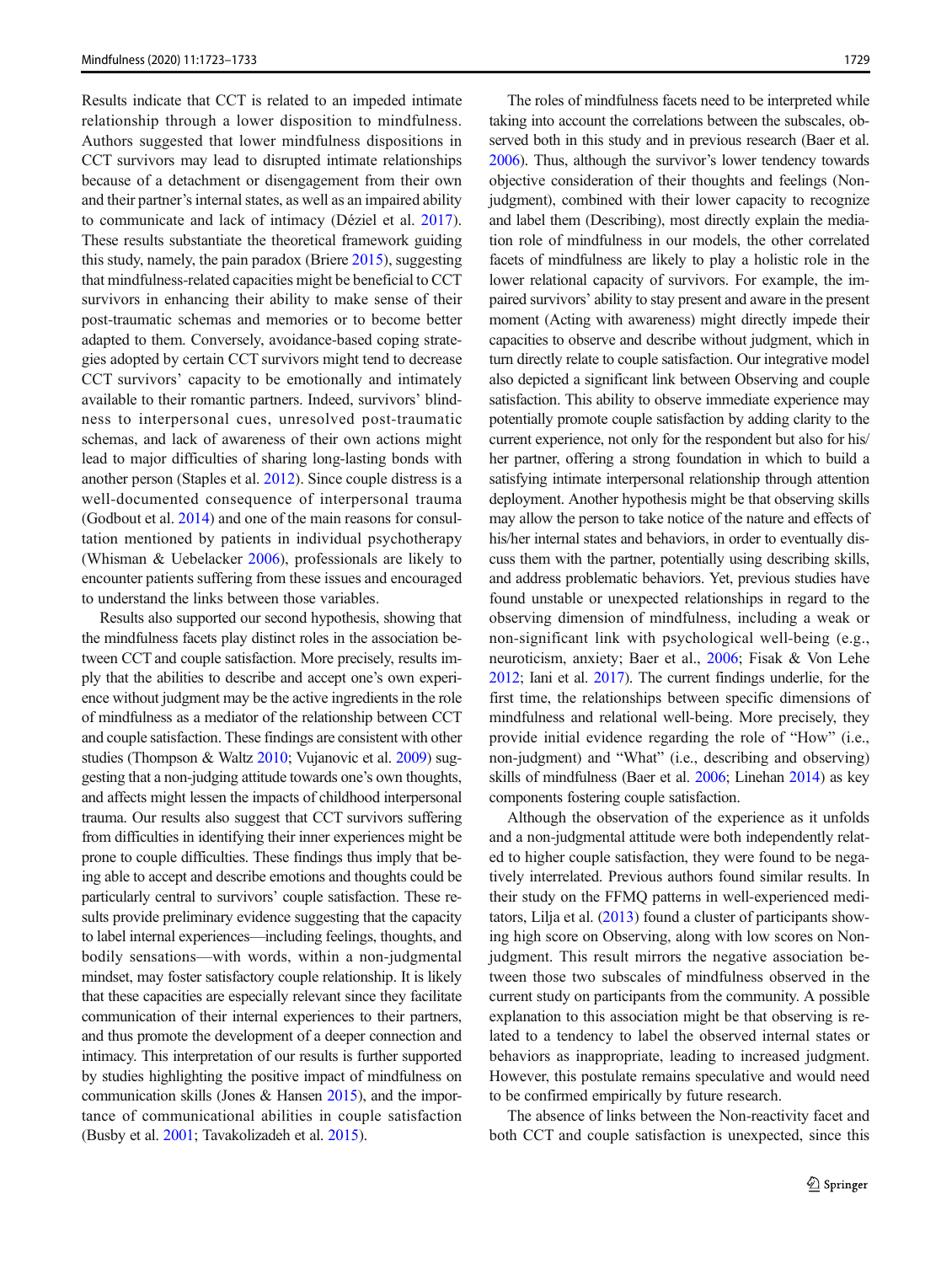Results indicate that CCT is related to an impeded intimate relationship through a lower disposition to mindfulness. Authors suggested that lower mindfulness dispositions in CCT survivors may lead to disrupted intimate relationships because of a detachment or disengagement from their own and their partner's internal states, as well as an impaired ability to communicate and lack of intimacy (Déziel et al. [2017](#page-8-0)). These results substantiate the theoretical framework guiding this study, namely, the pain paradox (Briere [2015\)](#page-8-0), suggesting that mindfulness-related capacities might be beneficial to CCT survivors in enhancing their ability to make sense of their post-traumatic schemas and memories or to become better adapted to them. Conversely, avoidance-based coping strategies adopted by certain CCT survivors might tend to decrease CCT survivors' capacity to be emotionally and intimately available to their romantic partners. Indeed, survivors' blindness to interpersonal cues, unresolved post-traumatic schemas, and lack of awareness of their own actions might lead to major difficulties of sharing long-lasting bonds with another person (Staples et al. [2012\)](#page-10-0). Since couple distress is a well-documented consequence of interpersonal trauma (Godbout et al. [2014](#page-9-0)) and one of the main reasons for consultation mentioned by patients in individual psychotherapy (Whisman & Uebelacker [2006](#page-10-0)), professionals are likely to encounter patients suffering from these issues and encouraged to understand the links between those variables.

Results also supported our second hypothesis, showing that the mindfulness facets play distinct roles in the association between CCT and couple satisfaction. More precisely, results imply that the abilities to describe and accept one's own experience without judgment may be the active ingredients in the role of mindfulness as a mediator of the relationship between CCT and couple satisfaction. These findings are consistent with other studies (Thompson & Waltz [2010](#page-10-0); Vujanovic et al. [2009](#page-10-0)) suggesting that a non-judging attitude towards one's own thoughts, and affects might lessen the impacts of childhood interpersonal trauma. Our results also suggest that CCT survivors suffering from difficulties in identifying their inner experiences might be prone to couple difficulties. These findings thus imply that being able to accept and describe emotions and thoughts could be particularly central to survivors' couple satisfaction. These results provide preliminary evidence suggesting that the capacity to label internal experiences—including feelings, thoughts, and bodily sensations—with words, within a non-judgmental mindset, may foster satisfactory couple relationship. It is likely that these capacities are especially relevant since they facilitate communication of their internal experiences to their partners, and thus promote the development of a deeper connection and intimacy. This interpretation of our results is further supported by studies highlighting the positive impact of mindfulness on communication skills (Jones & Hansen [2015\)](#page-9-0), and the importance of communicational abilities in couple satisfaction (Busby et al. [2001](#page-8-0); Tavakolizadeh et al. [2015\)](#page-10-0).

The roles of mindfulness facets need to be interpreted while taking into account the correlations between the subscales, observed both in this study and in previous research (Baer et al. [2006](#page-8-0)). Thus, although the survivor's lower tendency towards objective consideration of their thoughts and feelings (Nonjudgment), combined with their lower capacity to recognize and label them (Describing), most directly explain the mediation role of mindfulness in our models, the other correlated facets of mindfulness are likely to play a holistic role in the lower relational capacity of survivors. For example, the impaired survivors' ability to stay present and aware in the present moment (Acting with awareness) might directly impede their capacities to observe and describe without judgment, which in turn directly relate to couple satisfaction. Our integrative model also depicted a significant link between Observing and couple satisfaction. This ability to observe immediate experience may potentially promote couple satisfaction by adding clarity to the current experience, not only for the respondent but also for his/ her partner, offering a strong foundation in which to build a satisfying intimate interpersonal relationship through attention deployment. Another hypothesis might be that observing skills may allow the person to take notice of the nature and effects of his/her internal states and behaviors, in order to eventually discuss them with the partner, potentially using describing skills, and address problematic behaviors. Yet, previous studies have found unstable or unexpected relationships in regard to the observing dimension of mindfulness, including a weak or non-significant link with psychological well-being (e.g., neuroticism, anxiety; Baer et al., [2006](#page-8-0); Fisak & Von Lehe [2012](#page-8-0); Iani et al. [2017\)](#page-9-0). The current findings underlie, for the first time, the relationships between specific dimensions of mindfulness and relational well-being. More precisely, they provide initial evidence regarding the role of "How" (i.e., non-judgment) and "What" (i.e., describing and observing) skills of mindfulness (Baer et al. [2006](#page-8-0); Linehan [2014](#page-9-0)) as key components fostering couple satisfaction.

Although the observation of the experience as it unfolds and a non-judgmental attitude were both independently related to higher couple satisfaction, they were found to be negatively interrelated. Previous authors found similar results. In their study on the FFMQ patterns in well-experienced meditators, Lilja et al. [\(2013\)](#page-9-0) found a cluster of participants showing high score on Observing, along with low scores on Nonjudgment. This result mirrors the negative association between those two subscales of mindfulness observed in the current study on participants from the community. A possible explanation to this association might be that observing is related to a tendency to label the observed internal states or behaviors as inappropriate, leading to increased judgment. However, this postulate remains speculative and would need to be confirmed empirically by future research.

The absence of links between the Non-reactivity facet and both CCT and couple satisfaction is unexpected, since this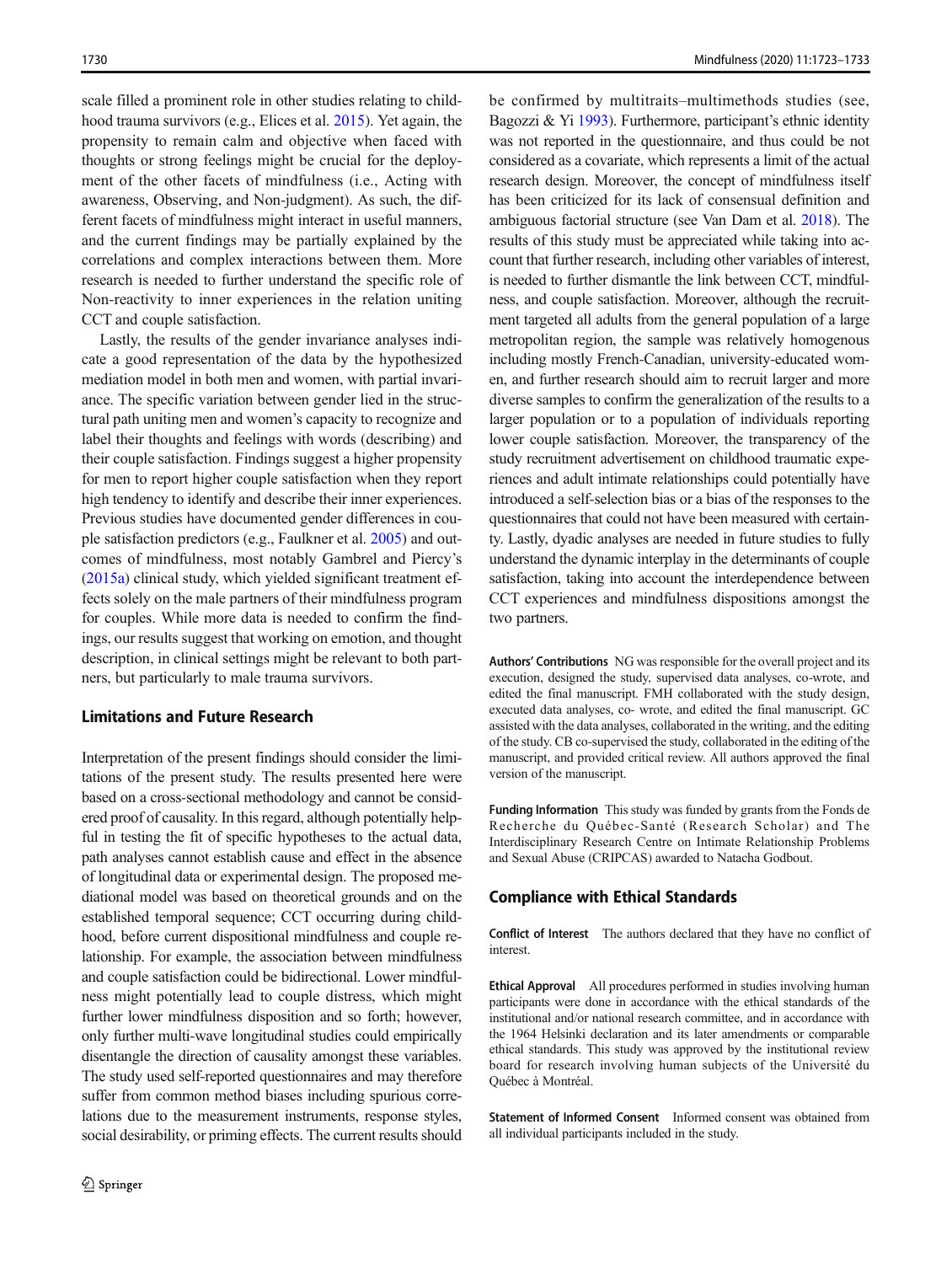scale filled a prominent role in other studies relating to childhood trauma survivors (e.g., Elices et al. [2015](#page-8-0)). Yet again, the propensity to remain calm and objective when faced with thoughts or strong feelings might be crucial for the deployment of the other facets of mindfulness (i.e., Acting with awareness, Observing, and Non-judgment). As such, the different facets of mindfulness might interact in useful manners, and the current findings may be partially explained by the correlations and complex interactions between them. More research is needed to further understand the specific role of Non-reactivity to inner experiences in the relation uniting CCT and couple satisfaction.

Lastly, the results of the gender invariance analyses indicate a good representation of the data by the hypothesized mediation model in both men and women, with partial invariance. The specific variation between gender lied in the structural path uniting men and women's capacity to recognize and label their thoughts and feelings with words (describing) and their couple satisfaction. Findings suggest a higher propensity for men to report higher couple satisfaction when they report high tendency to identify and describe their inner experiences. Previous studies have documented gender differences in couple satisfaction predictors (e.g., Faulkner et al. [2005](#page-8-0)) and outcomes of mindfulness, most notably Gambrel and Piercy's [\(2015a\)](#page-8-0) clinical study, which yielded significant treatment effects solely on the male partners of their mindfulness program for couples. While more data is needed to confirm the findings, our results suggest that working on emotion, and thought description, in clinical settings might be relevant to both partners, but particularly to male trauma survivors.

## Limitations and Future Research

Interpretation of the present findings should consider the limitations of the present study. The results presented here were based on a cross-sectional methodology and cannot be considered proof of causality. In this regard, although potentially helpful in testing the fit of specific hypotheses to the actual data, path analyses cannot establish cause and effect in the absence of longitudinal data or experimental design. The proposed mediational model was based on theoretical grounds and on the established temporal sequence; CCT occurring during childhood, before current dispositional mindfulness and couple relationship. For example, the association between mindfulness and couple satisfaction could be bidirectional. Lower mindfulness might potentially lead to couple distress, which might further lower mindfulness disposition and so forth; however, only further multi-wave longitudinal studies could empirically disentangle the direction of causality amongst these variables. The study used self-reported questionnaires and may therefore suffer from common method biases including spurious correlations due to the measurement instruments, response styles, social desirability, or priming effects. The current results should

be confirmed by multitraits–multimethods studies (see, Bagozzi & Yi [1993\)](#page-8-0). Furthermore, participant's ethnic identity was not reported in the questionnaire, and thus could be not considered as a covariate, which represents a limit of the actual research design. Moreover, the concept of mindfulness itself has been criticized for its lack of consensual definition and ambiguous factorial structure (see Van Dam et al. [2018\)](#page-10-0). The results of this study must be appreciated while taking into account that further research, including other variables of interest, is needed to further dismantle the link between CCT, mindfulness, and couple satisfaction. Moreover, although the recruitment targeted all adults from the general population of a large metropolitan region, the sample was relatively homogenous including mostly French-Canadian, university-educated women, and further research should aim to recruit larger and more diverse samples to confirm the generalization of the results to a larger population or to a population of individuals reporting lower couple satisfaction. Moreover, the transparency of the study recruitment advertisement on childhood traumatic experiences and adult intimate relationships could potentially have introduced a self-selection bias or a bias of the responses to the questionnaires that could not have been measured with certainty. Lastly, dyadic analyses are needed in future studies to fully understand the dynamic interplay in the determinants of couple satisfaction, taking into account the interdependence between CCT experiences and mindfulness dispositions amongst the two partners.

Authors' Contributions NG was responsible for the overall project and its execution, designed the study, supervised data analyses, co-wrote, and edited the final manuscript. FMH collaborated with the study design, executed data analyses, co- wrote, and edited the final manuscript. GC assisted with the data analyses, collaborated in the writing, and the editing of the study. CB co-supervised the study, collaborated in the editing of the manuscript, and provided critical review. All authors approved the final version of the manuscript.

Funding Information This study was funded by grants from the Fonds de Recherche du Québec-Santé (Research Scholar) and The Interdisciplinary Research Centre on Intimate Relationship Problems and Sexual Abuse (CRIPCAS) awarded to Natacha Godbout.

#### Compliance with Ethical Standards

Conflict of Interest The authors declared that they have no conflict of **interest** 

Ethical Approval All procedures performed in studies involving human participants were done in accordance with the ethical standards of the institutional and/or national research committee, and in accordance with the 1964 Helsinki declaration and its later amendments or comparable ethical standards. This study was approved by the institutional review board for research involving human subjects of the Université du Québec à Montréal.

Statement of Informed Consent Informed consent was obtained from all individual participants included in the study.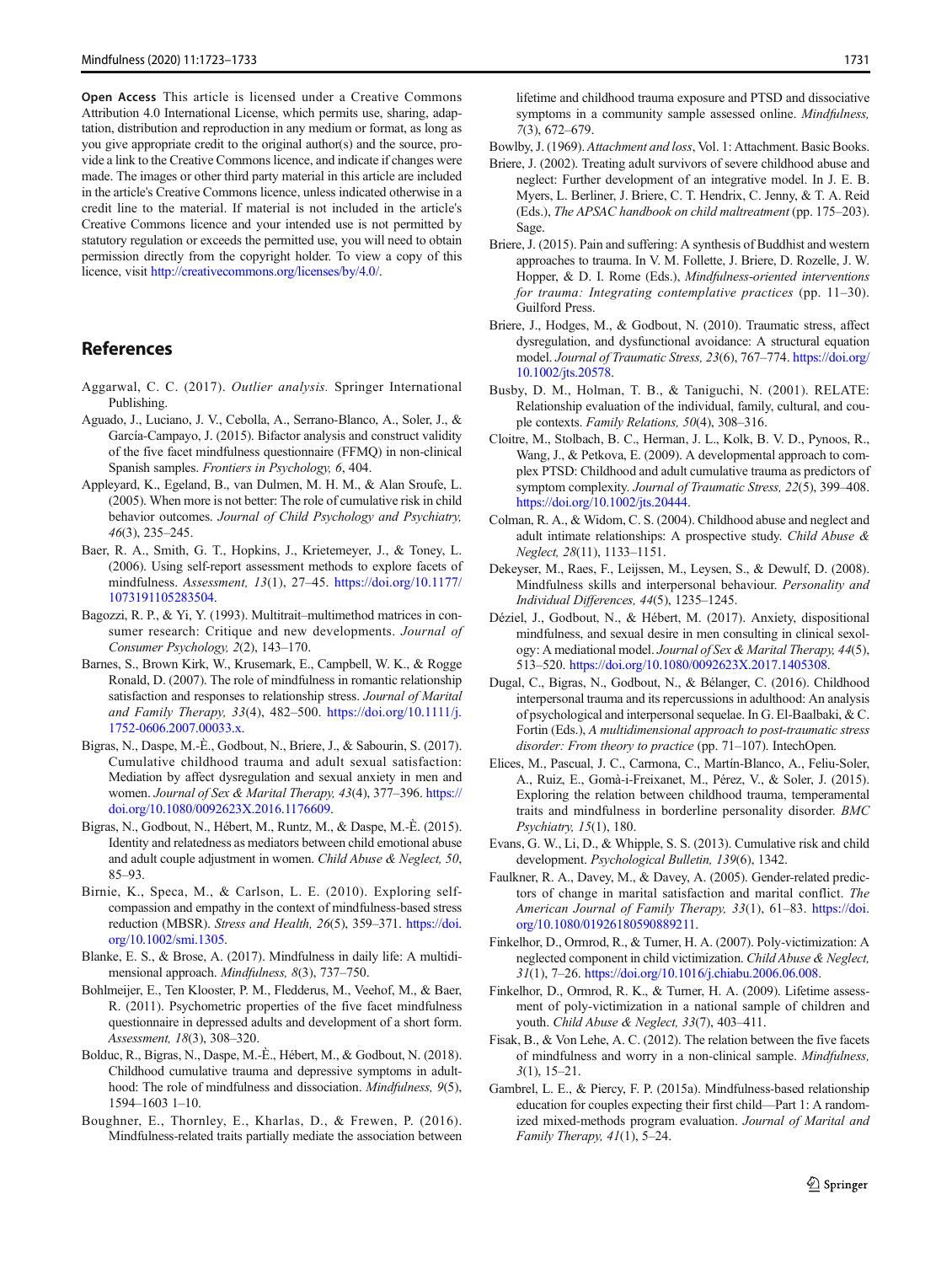<span id="page-8-0"></span>Open Access This article is licensed under a Creative Commons Attribution 4.0 International License, which permits use, sharing, adaptation, distribution and reproduction in any medium or format, as long as you give appropriate credit to the original author(s) and the source, provide a link to the Creative Commons licence, and indicate if changes were made. The images or other third party material in this article are included in the article's Creative Commons licence, unless indicated otherwise in a credit line to the material. If material is not included in the article's Creative Commons licence and your intended use is not permitted by statutory regulation or exceeds the permitted use, you will need to obtain permission directly from the copyright holder. To view a copy of this licence, visit <http://creativecommons.org/licenses/by/4.0/>.

## References

- Aggarwal, C. C. (2017). Outlier analysis. Springer International Publishing.
- Aguado, J., Luciano, J. V., Cebolla, A., Serrano-Blanco, A., Soler, J., & García-Campayo, J. (2015). Bifactor analysis and construct validity of the five facet mindfulness questionnaire (FFMQ) in non-clinical Spanish samples. Frontiers in Psychology, 6, 404.
- Appleyard, K., Egeland, B., van Dulmen, M. H. M., & Alan Sroufe, L. (2005). When more is not better: The role of cumulative risk in child behavior outcomes. Journal of Child Psychology and Psychiatry, 46(3), 235–245.
- Baer, R. A., Smith, G. T., Hopkins, J., Krietemeyer, J., & Toney, L. (2006). Using self-report assessment methods to explore facets of mindfulness. Assessment, 13(1), 27–45. [https://doi.org/10.1177/](https://doi.org/10.1177/1073191105283504) [1073191105283504.](https://doi.org/10.1177/1073191105283504)
- Bagozzi, R. P., & Yi, Y. (1993). Multitrait–multimethod matrices in consumer research: Critique and new developments. Journal of Consumer Psychology, 2(2), 143–170.
- Barnes, S., Brown Kirk, W., Krusemark, E., Campbell, W. K., & Rogge Ronald, D. (2007). The role of mindfulness in romantic relationship satisfaction and responses to relationship stress. Journal of Marital and Family Therapy, 33(4), 482–500. [https://doi.org/10.1111/j.](https://doi.org/10.1111/j.1752-0606.2007.00033.x) [1752-0606.2007.00033.x](https://doi.org/10.1111/j.1752-0606.2007.00033.x).
- Bigras, N., Daspe, M.-È., Godbout, N., Briere, J., & Sabourin, S. (2017). Cumulative childhood trauma and adult sexual satisfaction: Mediation by affect dysregulation and sexual anxiety in men and women. Journal of Sex & Marital Therapy, 43(4), 377–396. [https://](https://doi.org/10.1080/0092623X.2016.1176609) [doi.org/10.1080/0092623X.2016.1176609.](https://doi.org/10.1080/0092623X.2016.1176609)
- Bigras, N., Godbout, N., Hébert, M., Runtz, M., & Daspe, M.-È. (2015). Identity and relatedness as mediators between child emotional abuse and adult couple adjustment in women. Child Abuse & Neglect, 50, 85–93.
- Birnie, K., Speca, M., & Carlson, L. E. (2010). Exploring selfcompassion and empathy in the context of mindfulness-based stress reduction (MBSR). Stress and Health, 26(5), 359–371. [https://doi.](https://doi.org/10.1002/smi.1305) [org/10.1002/smi.1305](https://doi.org/10.1002/smi.1305).
- Blanke, E. S., & Brose, A. (2017). Mindfulness in daily life: A multidimensional approach. Mindfulness, 8(3), 737–750.
- Bohlmeijer, E., Ten Klooster, P. M., Fledderus, M., Veehof, M., & Baer, R. (2011). Psychometric properties of the five facet mindfulness questionnaire in depressed adults and development of a short form. Assessment, 18(3), 308–320.
- Bolduc, R., Bigras, N., Daspe, M.-È., Hébert, M., & Godbout, N. (2018). Childhood cumulative trauma and depressive symptoms in adulthood: The role of mindfulness and dissociation. *Mindfulness*, 9(5), 1594–1603 1–10.
- Boughner, E., Thornley, E., Kharlas, D., & Frewen, P. (2016). Mindfulness-related traits partially mediate the association between

lifetime and childhood trauma exposure and PTSD and dissociative symptoms in a community sample assessed online. Mindfulness, 7(3), 672–679.

Bowlby, J. (1969). Attachment and loss, Vol. 1: Attachment. Basic Books.

- Briere, J. (2002). Treating adult survivors of severe childhood abuse and neglect: Further development of an integrative model. In J. E. B. Myers, L. Berliner, J. Briere, C. T. Hendrix, C. Jenny, & T. A. Reid (Eds.), The APSAC handbook on child maltreatment (pp. 175–203). Sage.
- Briere, J. (2015). Pain and suffering: A synthesis of Buddhist and western approaches to trauma. In V. M. Follette, J. Briere, D. Rozelle, J. W. Hopper, & D. I. Rome (Eds.), Mindfulness-oriented interventions for trauma: Integrating contemplative practices (pp. 11–30). Guilford Press.
- Briere, J., Hodges, M., & Godbout, N. (2010). Traumatic stress, affect dysregulation, and dysfunctional avoidance: A structural equation model. Journal of Traumatic Stress, 23(6), 767–774. [https://doi.org/](https://doi.org/10.1002/jts.20578) [10.1002/jts.20578](https://doi.org/10.1002/jts.20578).
- Busby, D. M., Holman, T. B., & Taniguchi, N. (2001). RELATE: Relationship evaluation of the individual, family, cultural, and couple contexts. Family Relations, 50(4), 308–316.
- Cloitre, M., Stolbach, B. C., Herman, J. L., Kolk, B. V. D., Pynoos, R., Wang, J., & Petkova, E. (2009). A developmental approach to complex PTSD: Childhood and adult cumulative trauma as predictors of symptom complexity. Journal of Traumatic Stress, 22(5), 399–408. <https://doi.org/10.1002/jts.20444>.
- Colman, R. A., & Widom, C. S. (2004). Childhood abuse and neglect and adult intimate relationships: A prospective study. Child Abuse & Neglect, 28(11), 1133–1151.
- Dekeyser, M., Raes, F., Leijssen, M., Leysen, S., & Dewulf, D. (2008). Mindfulness skills and interpersonal behaviour. Personality and Individual Differences, 44(5), 1235–1245.
- Déziel, J., Godbout, N., & Hébert, M. (2017). Anxiety, dispositional mindfulness, and sexual desire in men consulting in clinical sexology: A mediational model. Journal of Sex & Marital Therapy, 44(5), 513–520. [https://doi.org/10.1080/0092623X.2017.1405308.](https://doi.org/10.1080/0092623X.2017.1405308)
- Dugal, C., Bigras, N., Godbout, N., & Bélanger, C. (2016). Childhood interpersonal trauma and its repercussions in adulthood: An analysis of psychological and interpersonal sequelae. In G. El-Baalbaki, & C. Fortin (Eds.), A multidimensional approach to post-traumatic stress disorder: From theory to practice (pp. 71-107). IntechOpen.
- Elices, M., Pascual, J. C., Carmona, C., Martín-Blanco, A., Feliu-Soler, A., Ruiz, E., Gomà-i-Freixanet, M., Pérez, V., & Soler, J. (2015). Exploring the relation between childhood trauma, temperamental traits and mindfulness in borderline personality disorder. BMC Psychiatry, 15(1), 180.
- Evans, G. W., Li, D., & Whipple, S. S. (2013). Cumulative risk and child development. Psychological Bulletin, 139(6), 1342.
- Faulkner, R. A., Davey, M., & Davey, A. (2005). Gender-related predictors of change in marital satisfaction and marital conflict. The American Journal of Family Therapy, 33(1), 61-83. [https://doi.](http://creativecommons.org/licenses/by/4.0/) [org/10.1080/01926180590889211](http://creativecommons.org/licenses/by/4.0/).
- Finkelhor, D., Ormrod, R., & Turner, H. A. (2007). Poly-victimization: A neglected component in child victimization. Child Abuse & Neglect, 31(1), 7–26. <https://doi.org/10.1016/j.chiabu.2006.06.008>.
- Finkelhor, D., Ormrod, R. K., & Turner, H. A. (2009). Lifetime assessment of poly-victimization in a national sample of children and youth. Child Abuse & Neglect, 33(7), 403–411.
- Fisak, B., & Von Lehe, A. C. (2012). The relation between the five facets of mindfulness and worry in a non-clinical sample. Mindfulness,  $3(1)$ , 15–21.
- Gambrel, L. E., & Piercy, F. P. (2015a). Mindfulness-based relationship education for couples expecting their first child—Part 1: A randomized mixed-methods program evaluation. Journal of Marital and Family Therapy, 41(1), 5–24.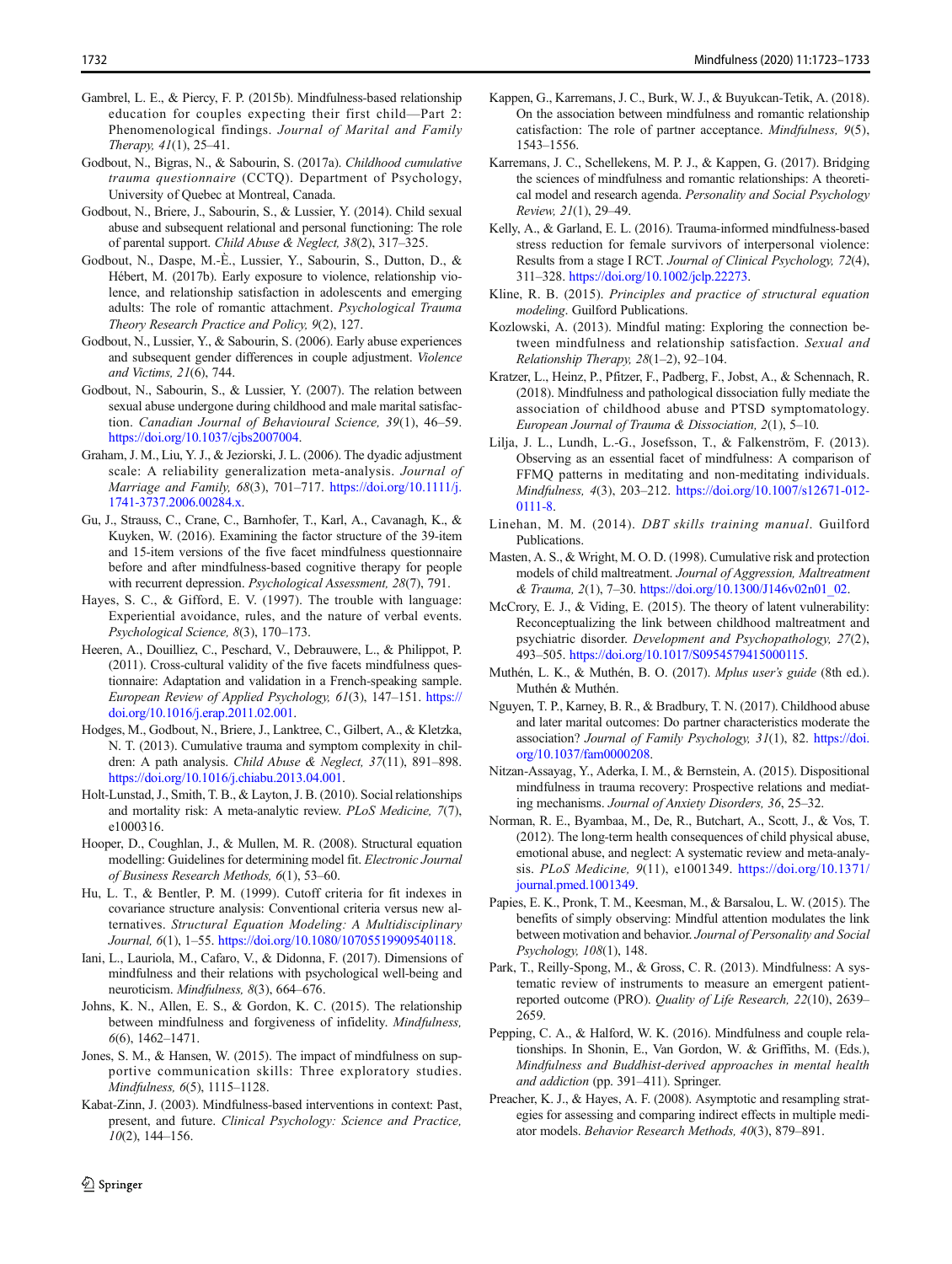- <span id="page-9-0"></span>Gambrel, L. E., & Piercy, F. P. (2015b). Mindfulness-based relationship education for couples expecting their first child—Part 2: Phenomenological findings. Journal of Marital and Family Therapy, 41(1), 25–41.
- Godbout, N., Bigras, N., & Sabourin, S. (2017a). Childhood cumulative trauma questionnaire (CCTQ). Department of Psychology, University of Quebec at Montreal, Canada.
- Godbout, N., Briere, J., Sabourin, S., & Lussier, Y. (2014). Child sexual abuse and subsequent relational and personal functioning: The role of parental support. Child Abuse & Neglect, 38(2), 317–325.
- Godbout, N., Daspe, M.-È., Lussier, Y., Sabourin, S., Dutton, D., & Hébert, M. (2017b). Early exposure to violence, relationship violence, and relationship satisfaction in adolescents and emerging adults: The role of romantic attachment. Psychological Trauma Theory Research Practice and Policy, 9(2), 127.
- Godbout, N., Lussier, Y., & Sabourin, S. (2006). Early abuse experiences and subsequent gender differences in couple adjustment. Violence and Victims, 21(6), 744.
- Godbout, N., Sabourin, S., & Lussier, Y. (2007). The relation between sexual abuse undergone during childhood and male marital satisfaction. Canadian Journal of Behavioural Science, 39(1), 46–59. [https://doi.org/10.1037/cjbs2007004.](https://doi.org/10.1037/cjbs2007004)
- Graham, J. M., Liu, Y. J., & Jeziorski, J. L. (2006). The dyadic adjustment scale: A reliability generalization meta-analysis. Journal of Marriage and Family, 68(3), 701–717. [https://doi.org/10.1111/j.](https://doi.org/10.1111/j.1741-3737.2006.00284.x) [1741-3737.2006.00284.x](https://doi.org/10.1111/j.1741-3737.2006.00284.x).
- Gu, J., Strauss, C., Crane, C., Barnhofer, T., Karl, A., Cavanagh, K., & Kuyken, W. (2016). Examining the factor structure of the 39-item and 15-item versions of the five facet mindfulness questionnaire before and after mindfulness-based cognitive therapy for people with recurrent depression. Psychological Assessment, 28(7), 791.
- Hayes, S. C., & Gifford, E. V. (1997). The trouble with language: Experiential avoidance, rules, and the nature of verbal events. Psychological Science, 8(3), 170–173.
- Heeren, A., Douilliez, C., Peschard, V., Debrauwere, L., & Philippot, P. (2011). Cross-cultural validity of the five facets mindfulness questionnaire: Adaptation and validation in a French-speaking sample. European Review of Applied Psychology, 61(3), 147–151. [https://](https://doi.org/10.1016/j.erap.2011.02.001) [doi.org/10.1016/j.erap.2011.02.001.](https://doi.org/10.1016/j.erap.2011.02.001)
- Hodges, M., Godbout, N., Briere, J., Lanktree, C., Gilbert, A., & Kletzka, N. T. (2013). Cumulative trauma and symptom complexity in children: A path analysis. Child Abuse & Neglect, 37(11), 891–898. <https://doi.org/10.1016/j.chiabu.2013.04.001>.
- Holt-Lunstad, J., Smith, T. B., & Layton, J. B. (2010). Social relationships and mortality risk: A meta-analytic review. PLoS Medicine, 7(7), e1000316.
- Hooper, D., Coughlan, J., & Mullen, M. R. (2008). Structural equation modelling: Guidelines for determining model fit. Electronic Journal of Business Research Methods, 6(1), 53–60.
- Hu, L. T., & Bentler, P. M. (1999). Cutoff criteria for fit indexes in covariance structure analysis: Conventional criteria versus new alternatives. Structural Equation Modeling: A Multidisciplinary Journal, 6(1), 1–55. <https://doi.org/10.1080/10705519909540118>.
- Iani, L., Lauriola, M., Cafaro, V., & Didonna, F. (2017). Dimensions of mindfulness and their relations with psychological well-being and neuroticism. Mindfulness, 8(3), 664–676.
- Johns, K. N., Allen, E. S., & Gordon, K. C. (2015). The relationship between mindfulness and forgiveness of infidelity. Mindfulness, 6(6), 1462–1471.
- Jones, S. M., & Hansen, W. (2015). The impact of mindfulness on supportive communication skills: Three exploratory studies. Mindfulness, 6(5), 1115–1128.
- Kabat-Zinn, J. (2003). Mindfulness-based interventions in context: Past, present, and future. Clinical Psychology: Science and Practice, 10(2), 144–156.
- Kappen, G., Karremans, J. C., Burk, W. J., & Buyukcan-Tetik, A. (2018). On the association between mindfulness and romantic relationship catisfaction: The role of partner acceptance. Mindfulness, 9(5), 1543–1556.
- Karremans, J. C., Schellekens, M. P. J., & Kappen, G. (2017). Bridging the sciences of mindfulness and romantic relationships: A theoretical model and research agenda. Personality and Social Psychology Review, 21(1), 29–49.
- Kelly, A., & Garland, E. L. (2016). Trauma-informed mindfulness-based stress reduction for female survivors of interpersonal violence: Results from a stage I RCT. Journal of Clinical Psychology, 72(4), 311–328. [https://doi.org/10.1002/jclp.22273.](https://doi.org/10.1002/jclp.22273)
- Kline, R. B. (2015). Principles and practice of structural equation modeling. Guilford Publications.
- Kozlowski, A. (2013). Mindful mating: Exploring the connection between mindfulness and relationship satisfaction. Sexual and Relationship Therapy, 28(1–2), 92–104.
- Kratzer, L., Heinz, P., Pfitzer, F., Padberg, F., Jobst, A., & Schennach, R. (2018). Mindfulness and pathological dissociation fully mediate the association of childhood abuse and PTSD symptomatology. European Journal of Trauma & Dissociation, 2(1), 5–10.
- Lilja, J. L., Lundh, L.-G., Josefsson, T., & Falkenström, F. (2013). Observing as an essential facet of mindfulness: A comparison of FFMQ patterns in meditating and non-meditating individuals. Mindfulness, 4(3), 203–212. [https://doi.org/10.1007/s12671-012-](https://doi.org/10.1007/s12671-012-0111-8) [0111-8.](https://doi.org/10.1007/s12671-012-0111-8)
- Linehan, M. M. (2014). DBT skills training manual. Guilford Publications.
- Masten, A. S., & Wright, M. O. D. (1998). Cumulative risk and protection models of child maltreatment. Journal of Aggression, Maltreatment & Trauma, 2(1), 7–30. [https://doi.org/10.1300/J146v02n01\\_02](https://doi.org/10.1300/J146v02n01_02).
- McCrory, E. J., & Viding, E. (2015). The theory of latent vulnerability: Reconceptualizing the link between childhood maltreatment and psychiatric disorder. Development and Psychopathology, 27(2), 493–505. [https://doi.org/10.1017/S0954579415000115.](https://doi.org/10.1017/S0954579415000115)
- Muthén, L. K., & Muthén, B. O. (2017). Mplus user's guide (8th ed.). Muthén & Muthén.
- Nguyen, T. P., Karney, B. R., & Bradbury, T. N. (2017). Childhood abuse and later marital outcomes: Do partner characteristics moderate the association? Journal of Family Psychology, 31(1), 82. [https://doi.](https://doi.org/10.1037/fam0000208) [org/10.1037/fam0000208.](https://doi.org/10.1037/fam0000208)
- Nitzan-Assayag, Y., Aderka, I. M., & Bernstein, A. (2015). Dispositional mindfulness in trauma recovery: Prospective relations and mediating mechanisms. Journal of Anxiety Disorders, 36, 25–32.
- Norman, R. E., Byambaa, M., De, R., Butchart, A., Scott, J., & Vos, T. (2012). The long-term health consequences of child physical abuse, emotional abuse, and neglect: A systematic review and meta-analysis. PLoS Medicine, 9(11), e1001349. [https://doi.org/10.1371/](https://doi.org/10.1371/journal.pmed.1001349) [journal.pmed.1001349](https://doi.org/10.1371/journal.pmed.1001349).
- Papies, E. K., Pronk, T. M., Keesman, M., & Barsalou, L. W. (2015). The benefits of simply observing: Mindful attention modulates the link between motivation and behavior. Journal of Personality and Social Psychology, 108(1), 148.
- Park, T., Reilly-Spong, M., & Gross, C. R. (2013). Mindfulness: A systematic review of instruments to measure an emergent patientreported outcome (PRO). Quality of Life Research, 22(10), 2639– 2659.
- Pepping, C. A., & Halford, W. K. (2016). Mindfulness and couple relationships. In Shonin, E., Van Gordon, W. & Griffiths, M. (Eds.), Mindfulness and Buddhist-derived approaches in mental health and addiction (pp. 391–411). Springer.
- Preacher, K. J., & Hayes, A. F. (2008). Asymptotic and resampling strategies for assessing and comparing indirect effects in multiple mediator models. Behavior Research Methods, 40(3), 879–891.